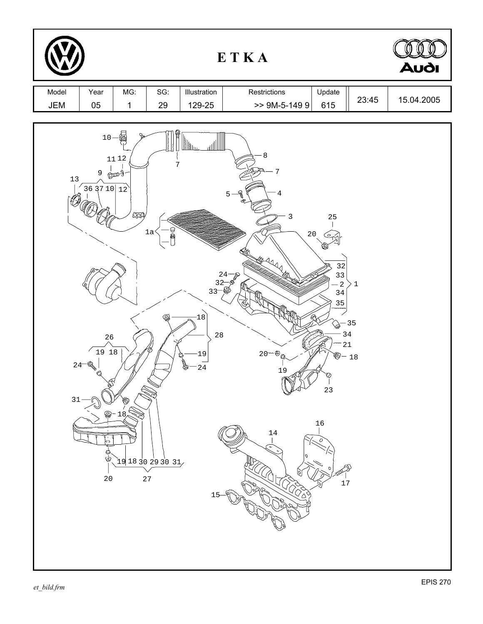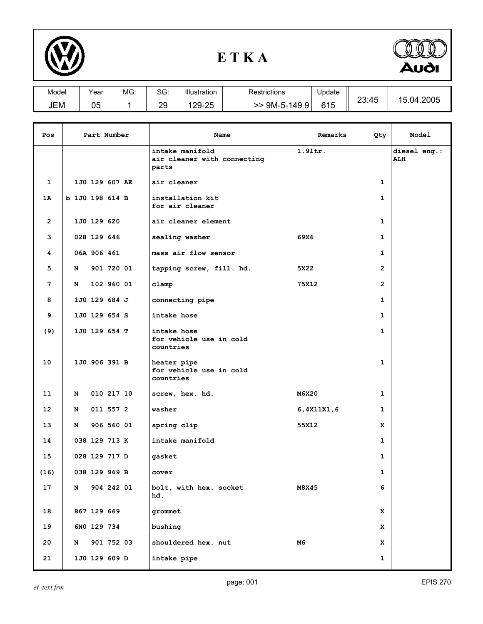

## **E T K A**



| Model | Year     | MG: | $\sim$<br>טכ. | Illustration  | Restrictions | Update | 23:45 |                 |
|-------|----------|-----|---------------|---------------|--------------|--------|-------|-----------------|
| JEM   | በፍ<br>uu |     | 29            | つに<br>$29-25$ | 9M-5-1499    | 615    |       | .04.2005<br>1 h |

| Pos             | Part Number     |             | Name           | Remarks                                                 | Qty        | Model          |                     |
|-----------------|-----------------|-------------|----------------|---------------------------------------------------------|------------|----------------|---------------------|
|                 |                 |             |                | intake manifold<br>air cleaner with connecting<br>parts | $1.91$ tr. |                | diesel eng.:<br>ALH |
| 1               |                 |             | 1J0 129 607 AE | air cleaner                                             |            | 1              |                     |
| 1A              | b 1J0 198 614 B |             |                | installation kit<br>for air cleaner                     |            | $\mathbf{1}$   |                     |
| $\overline{2}$  |                 | 1J0 129 620 |                | air cleaner element                                     |            | 1              |                     |
| 3               |                 | 028 129 646 |                | sealing washer                                          | 69X6       | 1              |                     |
| 4               |                 | 06A 906 461 |                | mass air flow sensor                                    |            | 1              |                     |
| 5               | N               |             | 901 720 01     | tapping screw, fill. hd.                                | 5X22       | $\overline{2}$ |                     |
| 7               | N               |             | 102 960 01     | clamp                                                   | 75X12      | $\overline{2}$ |                     |
| 8               |                 |             | 1J0 129 684 J  | connecting pipe                                         |            | $\mathbf{1}$   |                     |
| 9               |                 |             | 1J0 129 654 S  | intake hose                                             |            | 1              |                     |
| (9)             |                 |             | 1J0 129 654 T  | intake hose<br>for vehicle use in cold<br>countries     |            | $\mathbf{1}$   |                     |
| 10              |                 |             | 1J0 906 391 B  | heater pipe<br>for vehicle use in cold<br>countries     |            | $\mathbf{1}$   |                     |
| 11              | N               |             | 010 217 10     | screw, hex. hd.                                         | M6X20      | 1              |                     |
| 12 <sup>2</sup> | N               |             | 011 557 2      | washer                                                  | 6,4x11x1,6 | 1              |                     |
| 13              | N               |             | 906 560 01     | spring clip                                             | 55X12      | x              |                     |
| 14              |                 |             | 038 129 713 K  | intake manifold                                         |            | 1              |                     |
| 15              |                 |             | 028 129 717 D  | gasket                                                  |            | 1              |                     |
| (16)            |                 |             | 038 129 969 B  | cover                                                   |            | 1              |                     |
| 17              | N               |             | 904 242 01     | bolt, with hex. socket<br>hd.                           | M8X45      | 6              |                     |
| 18              |                 | 867 129 669 |                | grommet                                                 |            | x              |                     |
| 19              |                 | 6NO 129 734 |                | bushing                                                 |            | x              |                     |
| 20              | N               |             | 901 752 03     | shouldered hex. nut                                     | M6         | x              |                     |
| 21              |                 |             | 1J0 129 609 D  | intake pipe                                             |            | $\mathbf{1}$   |                     |